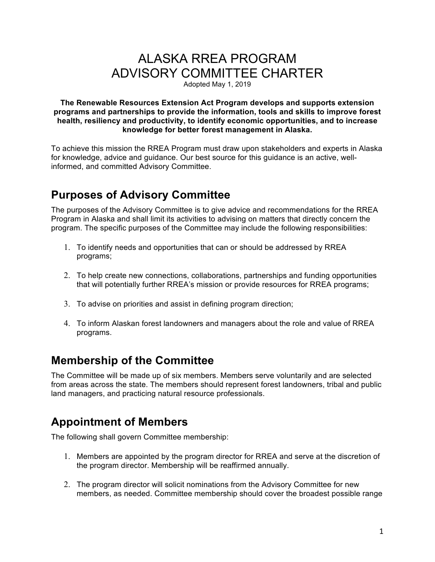# ALASKA RREA PROGRAM ADVISORY COMMITTEE CHARTER

Adopted May 1, 2019

#### **The Renewable Resources Extension Act Program develops and supports extension programs and partnerships to provide the information, tools and skills to improve forest health, resiliency and productivity, to identify economic opportunities, and to increase knowledge for better forest management in Alaska.**

To achieve this mission the RREA Program must draw upon stakeholders and experts in Alaska for knowledge, advice and guidance. Our best source for this guidance is an active, wellinformed, and committed Advisory Committee.

# **Purposes of Advisory Committee**

The purposes of the Advisory Committee is to give advice and recommendations for the RREA Program in Alaska and shall limit its activities to advising on matters that directly concern the program. The specific purposes of the Committee may include the following responsibilities:

- 1. To identify needs and opportunities that can or should be addressed by RREA programs;
- 2. To help create new connections, collaborations, partnerships and funding opportunities that will potentially further RREA's mission or provide resources for RREA programs;
- 3. To advise on priorities and assist in defining program direction;
- 4. To inform Alaskan forest landowners and managers about the role and value of RREA programs.

### **Membership of the Committee**

The Committee will be made up of six members. Members serve voluntarily and are selected from areas across the state. The members should represent forest landowners, tribal and public land managers, and practicing natural resource professionals.

## **Appointment of Members**

The following shall govern Committee membership:

- 1. Members are appointed by the program director for RREA and serve at the discretion of the program director. Membership will be reaffirmed annually.
- 2. The program director will solicit nominations from the Advisory Committee for new members, as needed. Committee membership should cover the broadest possible range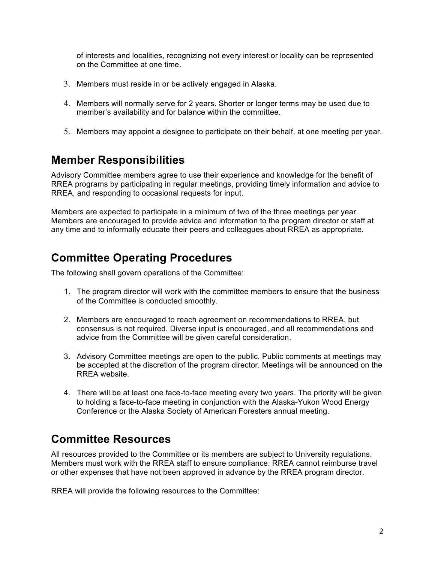of interests and localities, recognizing not every interest or locality can be represented on the Committee at one time.

- 3. Members must reside in or be actively engaged in Alaska.
- 4. Members will normally serve for 2 years. Shorter or longer terms may be used due to member's availability and for balance within the committee.
- 5. Members may appoint a designee to participate on their behalf, at one meeting per year.

#### **Member Responsibilities**

Advisory Committee members agree to use their experience and knowledge for the benefit of RREA programs by participating in regular meetings, providing timely information and advice to RREA, and responding to occasional requests for input.

Members are expected to participate in a minimum of two of the three meetings per year. Members are encouraged to provide advice and information to the program director or staff at any time and to informally educate their peers and colleagues about RREA as appropriate.

### **Committee Operating Procedures**

The following shall govern operations of the Committee:

- 1. The program director will work with the committee members to ensure that the business of the Committee is conducted smoothly.
- 2. Members are encouraged to reach agreement on recommendations to RREA, but consensus is not required. Diverse input is encouraged, and all recommendations and advice from the Committee will be given careful consideration.
- 3. Advisory Committee meetings are open to the public. Public comments at meetings may be accepted at the discretion of the program director. Meetings will be announced on the RREA website.
- 4. There will be at least one face-to-face meeting every two years. The priority will be given to holding a face-to-face meeting in conjunction with the Alaska-Yukon Wood Energy Conference or the Alaska Society of American Foresters annual meeting.

### **Committee Resources**

All resources provided to the Committee or its members are subject to University regulations. Members must work with the RREA staff to ensure compliance. RREA cannot reimburse travel or other expenses that have not been approved in advance by the RREA program director.

RREA will provide the following resources to the Committee: